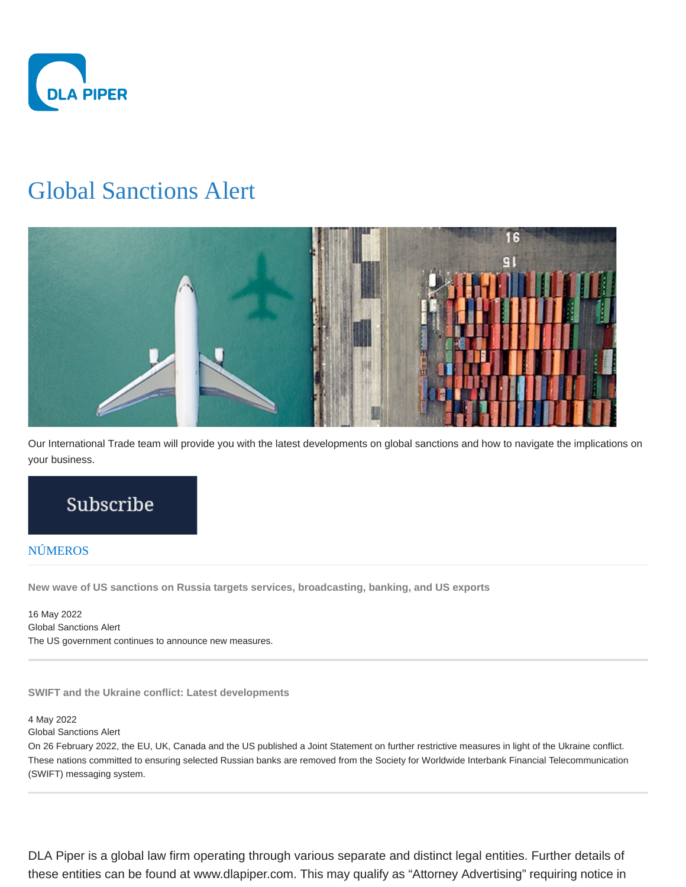

# Global Sanctions Alert



Our International Trade team will provide you with the latest developments on global sanctions and how to navigate the implications on your business.

## Subscribe

## NÚMEROS

**New wave of US sanctions on Russia targets services, broadcasting, banking, and US exports**

16 May 2022 Global Sanctions Alert The US government continues to announce new measures.

**SWIFT and the Ukraine conflict: Latest developments**

### 4 May 2022

Global Sanctions Alert

On 26 February 2022, the EU, UK, Canada and the US published a Joint Statement on further restrictive measures in light of the Ukraine conflict. These nations committed to ensuring selected Russian banks are removed from the Society for Worldwide Interbank Financial Telecommunication (SWIFT) messaging system.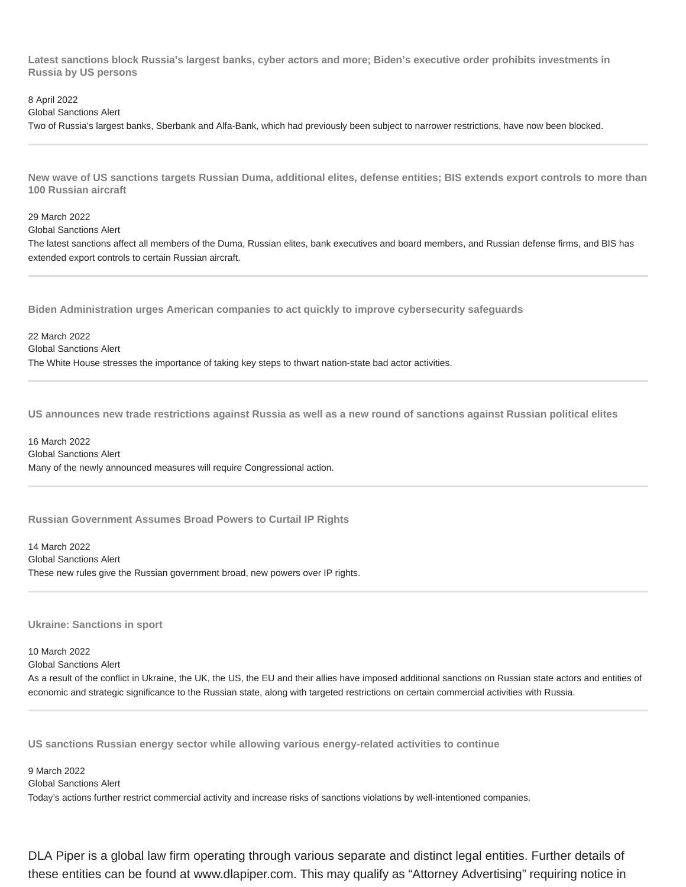**Latest sanctions block Russia's largest banks, cyber actors and more; Biden's executive order prohibits investments in Russia by US persons**

8 April 2022

Global Sanctions Alert

Two of Russia's largest banks, Sberbank and Alfa-Bank, which had previously been subject to narrower restrictions, have now been blocked.

**New wave of US sanctions targets Russian Duma, additional elites, defense entities; BIS extends export controls to more than 100 Russian aircraft**

29 March 2022

Global Sanctions Alert

The latest sanctions affect all members of the Duma, Russian elites, bank executives and board members, and Russian defense firms, and BIS has extended export controls to certain Russian aircraft.

**Biden Administration urges American companies to act quickly to improve cybersecurity safeguards**

22 March 2022 Global Sanctions Alert The White House stresses the importance of taking key steps to thwart nation-state bad actor activities.

**US announces new trade restrictions against Russia as well as a new round of sanctions against Russian political elites**

16 March 2022 Global Sanctions Alert Many of the newly announced measures will require Congressional action.

**Russian Government Assumes Broad Powers to Curtail IP Rights**

14 March 2022 Global Sanctions Alert These new rules give the Russian government broad, new powers over IP rights.

**Ukraine: Sanctions in sport**

10 March 2022 Global Sanctions Alert

As a result of the conflict in Ukraine, the UK, the US, the EU and their allies have imposed additional sanctions on Russian state actors and entities of economic and strategic significance to the Russian state, along with targeted restrictions on certain commercial activities with Russia.

**US sanctions Russian energy sector while allowing various energy-related activities to continue**

9 March 2022 Global Sanctions Alert Today's actions further restrict commercial activity and increase risks of sanctions violations by well-intentioned companies.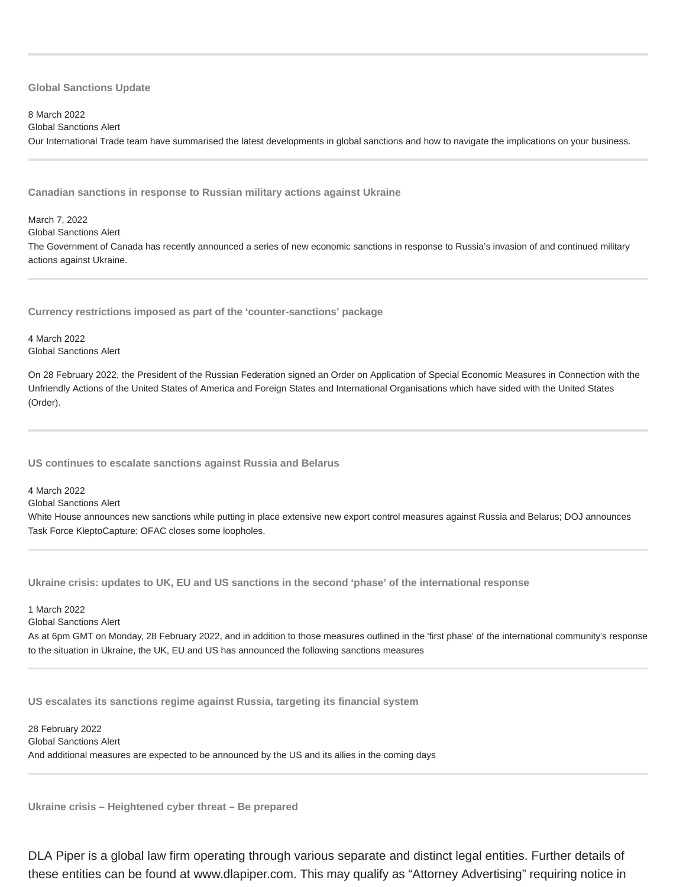#### **Global Sanctions Update**

#### 8 March 2022

Global Sanctions Alert

Our International Trade team have summarised the latest developments in global sanctions and how to navigate the implications on your business.

**Canadian sanctions in response to Russian military actions against Ukraine**

#### March 7, 2022

Global Sanctions Alert

The Government of Canada has recently announced a series of new economic sanctions in response to Russia's invasion of and continued military actions against Ukraine.

**Currency restrictions imposed as part of the 'counter-sanctions' package**

4 March 2022 Global Sanctions Alert

On 28 February 2022, the President of the Russian Federation signed an Order on Application of Special Economic Measures in Connection with the Unfriendly Actions of the United States of America and Foreign States and International Organisations which have sided with the United States (Order).

**US continues to escalate sanctions against Russia and Belarus**

4 March 2022

Global Sanctions Alert

White House announces new sanctions while putting in place extensive new export control measures against Russia and Belarus; DOJ announces Task Force KleptoCapture; OFAC closes some loopholes.

**Ukraine crisis: updates to UK, EU and US sanctions in the second 'phase' of the international response**

#### 1 March 2022

Global Sanctions Alert

As at 6pm GMT on Monday, 28 February 2022, and in addition to those measures outlined in the 'first phase' of the international community's response to the situation in Ukraine, the UK, EU and US has announced the following sanctions measures

**US escalates its sanctions regime against Russia, targeting its financial system**

28 February 2022 Global Sanctions Alert And additional measures are expected to be announced by the US and its allies in the coming days

**Ukraine crisis – Heightened cyber threat – Be prepared**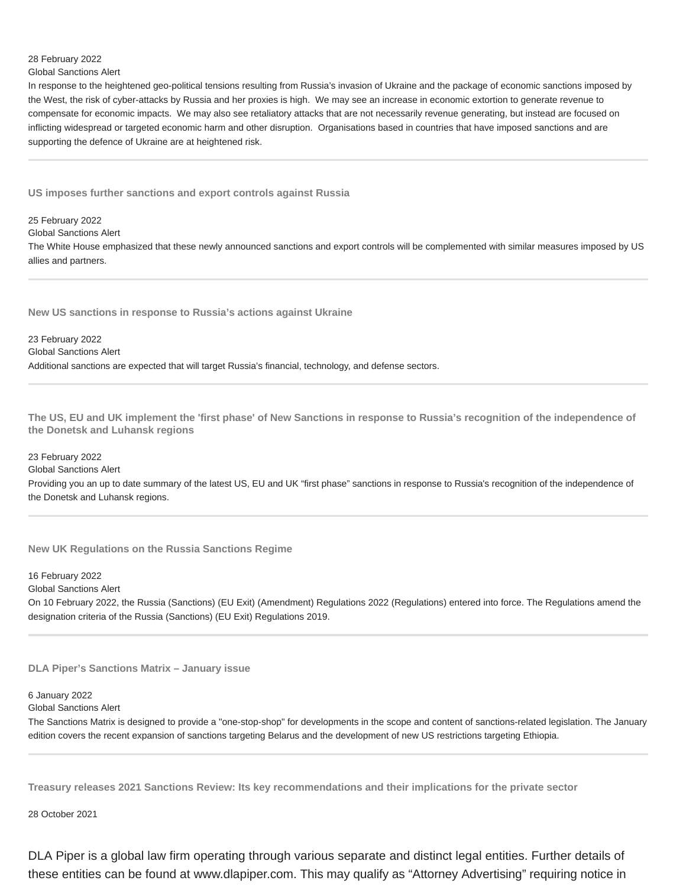## 28 February 2022

Global Sanctions Alert

In response to the heightened geo-political tensions resulting from Russia's invasion of Ukraine and the package of economic sanctions imposed by the West, the risk of cyber-attacks by Russia and her proxies is high. We may see an increase in economic extortion to generate revenue to compensate for economic impacts. We may also see retaliatory attacks that are not necessarily revenue generating, but instead are focused on inflicting widespread or targeted economic harm and other disruption. Organisations based in countries that have imposed sanctions and are supporting the defence of Ukraine are at heightened risk.

**US imposes further sanctions and export controls against Russia**

25 February 2022

Global Sanctions Alert

The White House emphasized that these newly announced sanctions and export controls will be complemented with similar measures imposed by US allies and partners.

**New US sanctions in response to Russia's actions against Ukraine**

23 February 2022 Global Sanctions Alert Additional sanctions are expected that will target Russia's financial, technology, and defense sectors.

**The US, EU and UK implement the 'first phase' of New Sanctions in response to Russia's recognition of the independence of the Donetsk and Luhansk regions**

#### 23 February 2022

Global Sanctions Alert

Providing you an up to date summary of the latest US, EU and UK "first phase" sanctions in response to Russia's recognition of the independence of the Donetsk and Luhansk regions.

**New UK Regulations on the Russia Sanctions Regime**

16 February 2022

Global Sanctions Alert

On 10 February 2022, the Russia (Sanctions) (EU Exit) (Amendment) Regulations 2022 (Regulations) entered into force. The Regulations amend the designation criteria of the Russia (Sanctions) (EU Exit) Regulations 2019.

**DLA Piper's Sanctions Matrix – January issue**

#### 6 January 2022

Global Sanctions Alert

The Sanctions Matrix is designed to provide a "one-stop-shop" for developments in the scope and content of sanctions-related legislation. The January edition covers the recent expansion of sanctions targeting Belarus and the development of new US restrictions targeting Ethiopia.

**Treasury releases 2021 Sanctions Review: Its key recommendations and their implications for the private sector**

28 October 2021